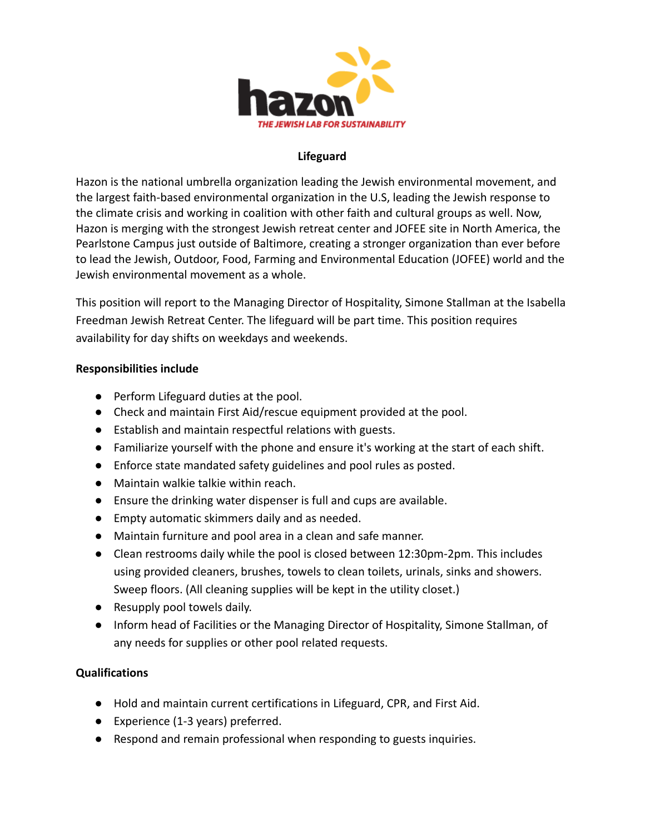

## **Lifeguard**

Hazon is the national umbrella organization leading the Jewish environmental movement, and the largest faith-based environmental organization in the U.S, leading the Jewish response to the climate crisis and working in coalition with other faith and cultural groups as well. Now, Hazon is merging with the strongest Jewish retreat center and JOFEE site in North America, the Pearlstone Campus just outside of Baltimore, creating a stronger organization than ever before to lead the [Jewish, Outdoor, Food, Farming and Environmental](https://default.salsalabs.org/Tdc775d19-276c-4ea0-a577-28c1c5c8be08/258d03b5-762f-4cbd-b3b8-51971d31a8de) Education (JOFEE) world and the Jewish environmental movement as a whole.

This position will report to the Managing Director of Hospitality, Simone Stallman at the Isabella Freedman Jewish Retreat Center. The lifeguard will be part time. This position requires availability for day shifts on weekdays and weekends.

## **Responsibilities include**

- Perform Lifeguard duties at the pool.
- Check and maintain First Aid/rescue equipment provided at the pool.
- Establish and maintain respectful relations with guests.
- Familiarize yourself with the phone and ensure it's working at the start of each shift.
- Enforce state mandated safety guidelines and pool rules as posted.
- Maintain walkie talkie within reach.
- Ensure the drinking water dispenser is full and cups are available.
- Empty automatic skimmers daily and as needed.
- Maintain furniture and pool area in a clean and safe manner.
- Clean restrooms daily while the pool is closed between 12:30pm-2pm. This includes using provided cleaners, brushes, towels to clean toilets, urinals, sinks and showers. Sweep floors. (All cleaning supplies will be kept in the utility closet.)
- Resupply pool towels daily.
- Inform head of Facilities or the Managing Director of Hospitality, Simone Stallman, of any needs for supplies or other pool related requests.

## **Qualifications**

- Hold and maintain current certifications in Lifeguard, CPR, and First Aid.
- Experience (1-3 years) preferred.
- Respond and remain professional when responding to guests inquiries.